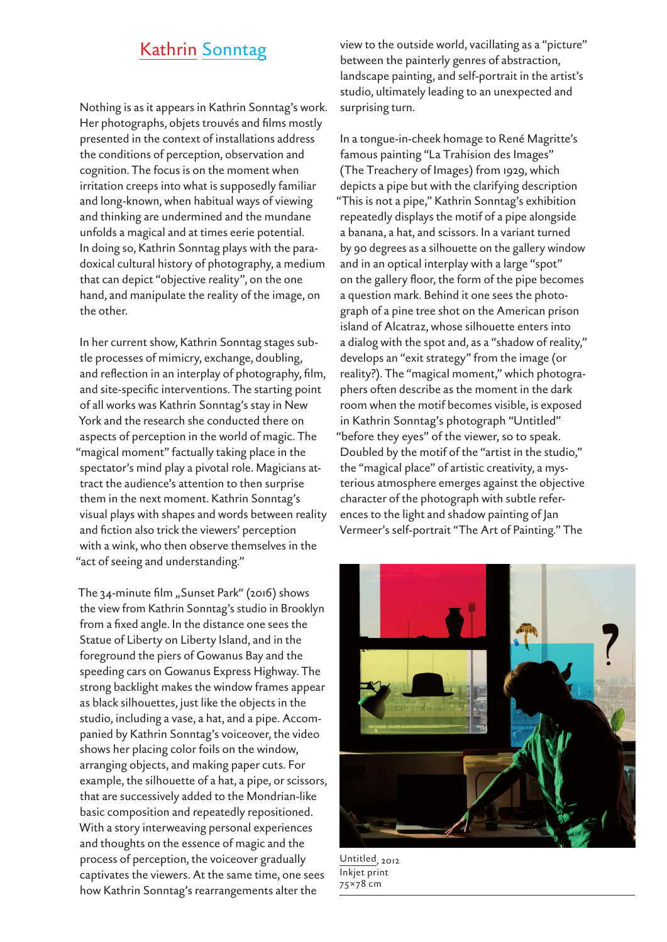## Kathrin Sonntag

Nothing is as it appears in Kathrin Sonntag's work. Her photographs, objets trouvés and films mostly presented in the context of installations address the conditions of perception, observation and cognition. The focus is on the moment when irritation creeps into what is supposedly familiar and long-known, when habitual ways of viewing and thinking are undermined and the mundane unfolds a magical and at times eerie potential. In doing so, Kathrin Sonntag plays with the paradoxical cultural history of photography, a medium that can depict "objective reality", on the one hand, and manipulate the reality of the image, on the other.

In her current show, Kathrin Sonntag stages subtle processes of mimicry, exchange, doubling, and reflection in an interplay of photography, film, and site-specific interventions. The starting point of all works was Kathrin Sonntag's stay in New York and the research she conducted there on aspects of perception in the world of magic. The "magical moment" factually taking place in the spectator's mind play a pivotal role. Magicians attract the audience's attention to then surprise them in the next moment. Kathrin Sonntag's visual plays with shapes and words between reality and fiction also trick the viewers' perception with a wink, who then observe themselves in the "act of seeing and understanding."

The 34-minute film "Sunset Park" (2016) shows the view from Kathrin Sonntag's studio in Brooklyn from a fixed angle. In the distance one sees the Statue of Liberty on Liberty Island, and in the foreground the piers of Gowanus Bay and the speeding cars on Gowanus Express Highway. The strong backlight makes the window frames appear as black silhouettes, just like the objects in the studio, including a vase, a hat, and a pipe. Accompanied by Kathrin Sonntag's voiceover, the video shows her placing color foils on the window, arranging objects, and making paper cuts. For example, the silhouette of a hat, a pipe, or scissors, that are successively added to the Mondrian-like basic composition and repeatedly repositioned. With a story interweaving personal experiences and thoughts on the essence of magic and the process of perception, the voiceover gradually captivates the viewers. At the same time, one sees how Kathrin Sonntag's rearrangements alter the

view to the outside world, vacillating as a "picture" between the painterly genres of abstraction, landscape painting, and self-portrait in the artist's studio, ultimately leading to an unexpected and surprising turn.

In a tongue-in-cheek homage to René Magritte's famous painting "La Trahision des Images" (The Treachery of Images) from 1929, which depicts a pipe but with the clarifying description "This is not a pipe," Kathrin Sonntag's exhibition repeatedly displays the motif of a pipe alongside a banana, a hat, and scissors. In a variant turned by 90 degrees as a silhouette on the gallery window and in an optical interplay with a large "spot" on the gallery floor, the form of the pipe becomes a question mark. Behind it one sees the photograph of a pine tree shot on the American prison island of Alcatraz, whose silhouette enters into a dialog with the spot and, as a "shadow of reality," develops an "exit strategy" from the image (or reality?). The "magical moment," which photographers often describe as the moment in the dark room when the motif becomes visible, is exposed in Kathrin Sonntag's photograph "Untitled" "before they eyes" of the viewer, so to speak. Doubled by the motif of the "artist in the studio," the "magical place" of artistic creativity, a mysterious atmosphere emerges against the objective character of the photograph with subtle references to the light and shadow painting of Jan Vermeer's self-portrait "The Art of Painting." The



Untitled, 2012 Inkjet print 75×78 cm